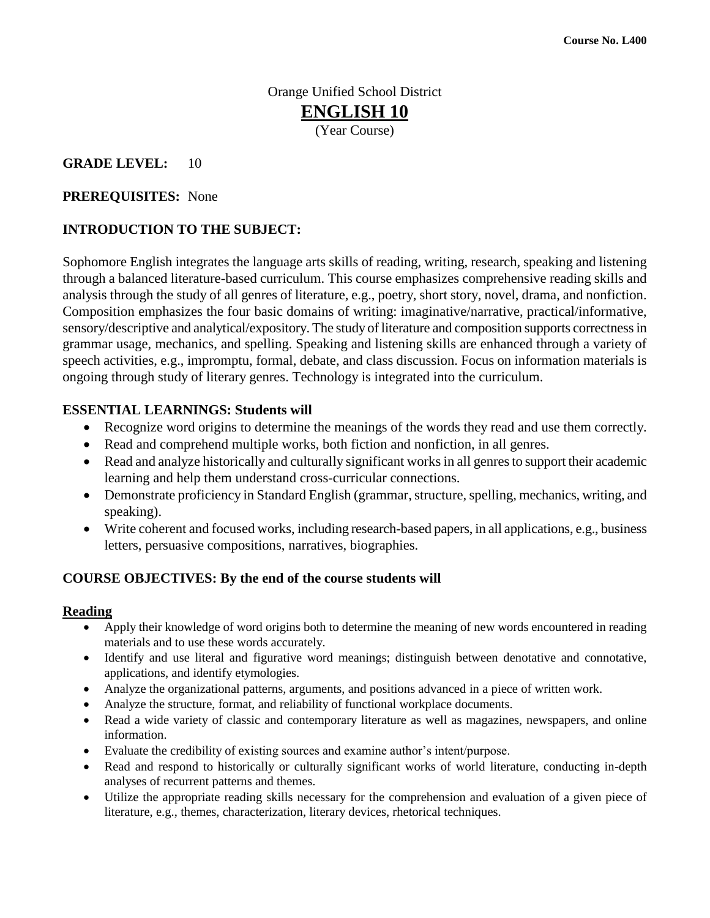## Orange Unified School District **ENGLISH 10** (Year Course)

#### **GRADE LEVEL:** 10

#### **PREREQUISITES:** None

#### **INTRODUCTION TO THE SUBJECT:**

Sophomore English integrates the language arts skills of reading, writing, research, speaking and listening through a balanced literature-based curriculum. This course emphasizes comprehensive reading skills and analysis through the study of all genres of literature, e.g., poetry, short story, novel, drama, and nonfiction. Composition emphasizes the four basic domains of writing: imaginative/narrative, practical/informative, sensory/descriptive and analytical/expository. The study of literature and composition supports correctness in grammar usage, mechanics, and spelling. Speaking and listening skills are enhanced through a variety of speech activities, e.g., impromptu, formal, debate, and class discussion. Focus on information materials is ongoing through study of literary genres. Technology is integrated into the curriculum.

#### **ESSENTIAL LEARNINGS: Students will**

- Recognize word origins to determine the meanings of the words they read and use them correctly.
- Read and comprehend multiple works, both fiction and nonfiction, in all genres.
- Read and analyze historically and culturally significant works in all genres to support their academic learning and help them understand cross-curricular connections.
- Demonstrate proficiency in Standard English (grammar, structure, spelling, mechanics, writing, and speaking).
- Write coherent and focused works, including research-based papers, in all applications, e.g., business letters, persuasive compositions, narratives, biographies.

#### **COURSE OBJECTIVES: By the end of the course students will**

#### **Reading**

- Apply their knowledge of word origins both to determine the meaning of new words encountered in reading materials and to use these words accurately.
- Identify and use literal and figurative word meanings; distinguish between denotative and connotative, applications, and identify etymologies.
- Analyze the organizational patterns, arguments, and positions advanced in a piece of written work.
- Analyze the structure, format, and reliability of functional workplace documents.
- Read a wide variety of classic and contemporary literature as well as magazines, newspapers, and online information.
- Evaluate the credibility of existing sources and examine author's intent/purpose.
- Read and respond to historically or culturally significant works of world literature, conducting in-depth analyses of recurrent patterns and themes.
- Utilize the appropriate reading skills necessary for the comprehension and evaluation of a given piece of literature, e.g., themes, characterization, literary devices, rhetorical techniques.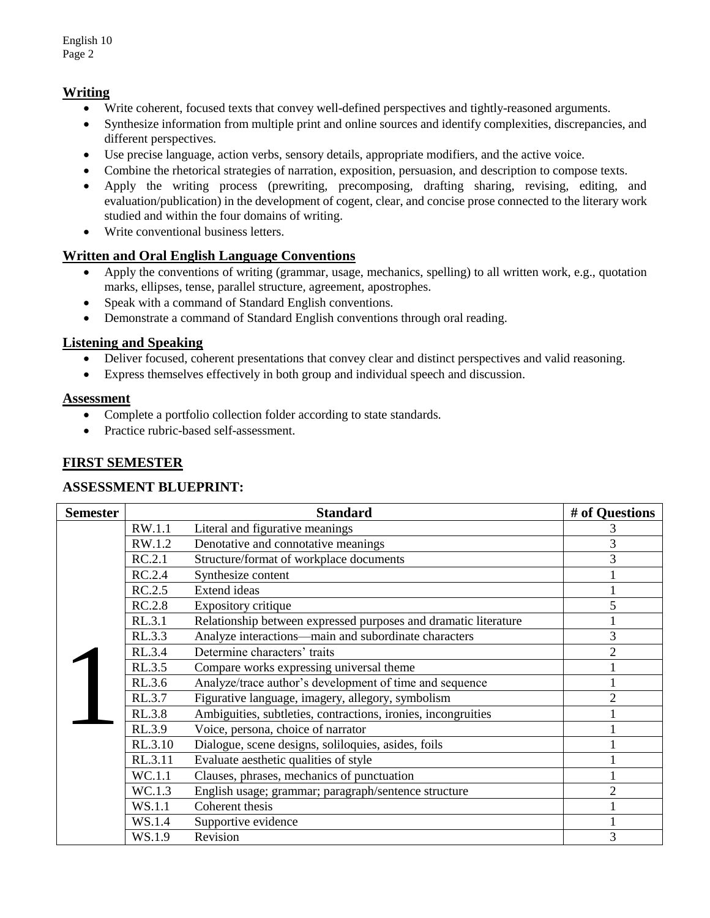### **Writing**

- Write coherent, focused texts that convey well-defined perspectives and tightly-reasoned arguments.
- Synthesize information from multiple print and online sources and identify complexities, discrepancies, and different perspectives.
- Use precise language, action verbs, sensory details, appropriate modifiers, and the active voice.
- Combine the rhetorical strategies of narration, exposition, persuasion, and description to compose texts.
- Apply the writing process (prewriting, precomposing, drafting sharing, revising, editing, and evaluation/publication) in the development of cogent, clear, and concise prose connected to the literary work studied and within the four domains of writing.
- Write conventional business letters.

#### **Written and Oral English Language Conventions**

- Apply the conventions of writing (grammar, usage, mechanics, spelling) to all written work, e.g., quotation marks, ellipses, tense, parallel structure, agreement, apostrophes.
- Speak with a command of Standard English conventions.
- Demonstrate a command of Standard English conventions through oral reading.

#### **Listening and Speaking**

- Deliver focused, coherent presentations that convey clear and distinct perspectives and valid reasoning.
- Express themselves effectively in both group and individual speech and discussion.

#### **Assessment**

- Complete a portfolio collection folder according to state standards.
- Practice rubric-based self-assessment.

#### **FIRST SEMESTER**

#### **ASSESSMENT BLUEPRINT:**

| <b>Semester</b> | <b>Standard</b> |                                                                 | # of Questions |
|-----------------|-----------------|-----------------------------------------------------------------|----------------|
|                 | RW.1.1          | Literal and figurative meanings                                 | 3              |
|                 | RW.1.2          | Denotative and connotative meanings                             | 3              |
|                 | RC.2.1          | Structure/format of workplace documents                         | 3              |
|                 | RC.2.4          | Synthesize content                                              |                |
|                 | RC.2.5          | Extend ideas                                                    |                |
|                 | RC.2.8          | Expository critique                                             | 5              |
|                 | RL.3.1          | Relationship between expressed purposes and dramatic literature |                |
|                 | RL.3.3          | Analyze interactions—main and subordinate characters            | 3              |
|                 | RL.3.4          | Determine characters' traits                                    | $\overline{2}$ |
|                 | RL.3.5          | Compare works expressing universal theme                        |                |
|                 | RL.3.6          | Analyze/trace author's development of time and sequence         |                |
|                 | RL.3.7          | Figurative language, imagery, allegory, symbolism               | $\overline{2}$ |
|                 | RL.3.8          | Ambiguities, subtleties, contractions, ironies, incongruities   |                |
|                 | RL.3.9          | Voice, persona, choice of narrator                              |                |
|                 | RL.3.10         | Dialogue, scene designs, soliloquies, asides, foils             |                |
|                 | RL.3.11         | Evaluate aesthetic qualities of style                           |                |
|                 | WC.1.1          | Clauses, phrases, mechanics of punctuation                      |                |
|                 | WC.1.3          | English usage; grammar; paragraph/sentence structure            | $\overline{2}$ |
|                 | WS.1.1          | Coherent thesis                                                 |                |
|                 | WS.1.4          | Supportive evidence                                             |                |
|                 | WS.1.9          | Revision                                                        | 3              |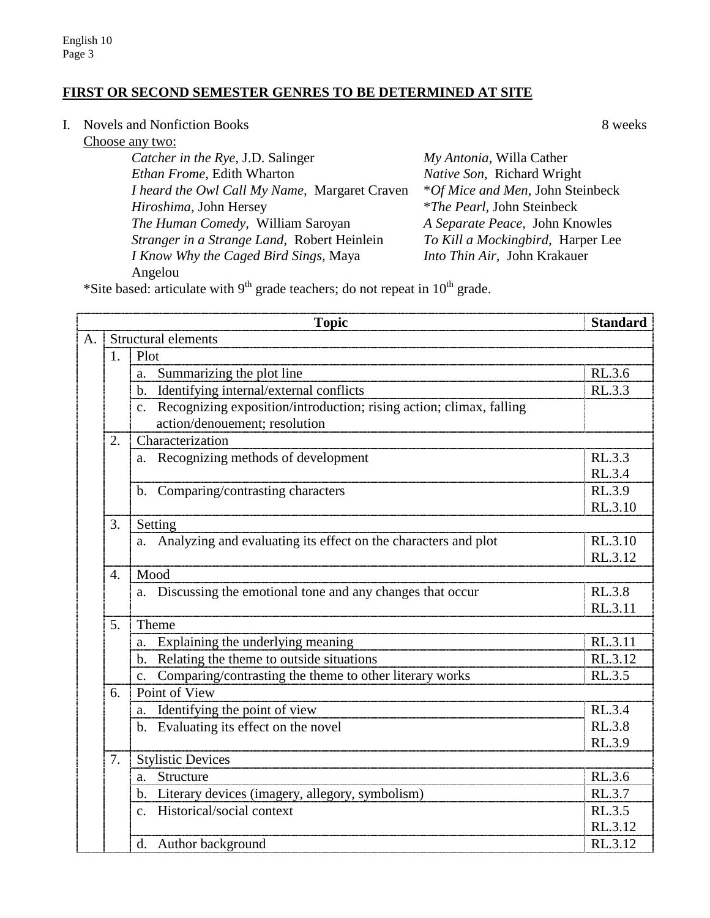## **FIRST OR SECOND SEMESTER GENRES TO BE DETERMINED AT SITE**

I. Novels and Nonfiction Books 8 weeks

Choose any two:

| My Antonia, Willa Cather           |
|------------------------------------|
| Native Son, Richard Wright         |
| *Of Mice and Men, John Steinbeck   |
| <i>*The Pearl</i> , John Steinbeck |
| A Separate Peace, John Knowles     |
| To Kill a Mockingbird, Harper Lee  |
| Into Thin Air, John Krakauer       |
|                                    |
|                                    |

\*Site based: articulate with  $9<sup>th</sup>$  grade teachers; do not repeat in  $10<sup>th</sup>$  grade.

|                | <b>Standard</b><br><b>Topic</b> |                                                                        |               |  |  |  |
|----------------|---------------------------------|------------------------------------------------------------------------|---------------|--|--|--|
| A <sub>1</sub> |                                 | Structural elements                                                    |               |  |  |  |
|                | 1.                              | Plot                                                                   |               |  |  |  |
|                |                                 | Summarizing the plot line<br>a.                                        | RL.3.6        |  |  |  |
|                |                                 | b. Identifying internal/external conflicts                             | RL.3.3        |  |  |  |
|                |                                 | c. Recognizing exposition/introduction; rising action; climax, falling |               |  |  |  |
|                |                                 | action/denouement; resolution                                          |               |  |  |  |
|                | 2.                              | Characterization                                                       |               |  |  |  |
|                |                                 | a. Recognizing methods of development                                  | RL.3.3        |  |  |  |
|                |                                 |                                                                        | RL.3.4        |  |  |  |
|                |                                 | b. Comparing/contrasting characters                                    | RL.3.9        |  |  |  |
|                |                                 |                                                                        | RL.3.10       |  |  |  |
|                | 3.                              | Setting                                                                |               |  |  |  |
|                |                                 | a. Analyzing and evaluating its effect on the characters and plot      | RL.3.10       |  |  |  |
|                |                                 |                                                                        | RL.3.12       |  |  |  |
|                | 4.                              | Mood                                                                   |               |  |  |  |
|                |                                 | a. Discussing the emotional tone and any changes that occur            | <b>RL.3.8</b> |  |  |  |
|                |                                 |                                                                        | RL.3.11       |  |  |  |
|                | 5 <sub>1</sub>                  | Theme                                                                  |               |  |  |  |
|                |                                 | Explaining the underlying meaning                                      | RL.3.11       |  |  |  |
|                |                                 | b. Relating the theme to outside situations                            | RL.3.12       |  |  |  |
|                |                                 | Comparing/contrasting the theme to other literary works                | RL.3.5        |  |  |  |
|                | 6.                              | Point of View                                                          |               |  |  |  |
|                |                                 | Identifying the point of view<br>a.                                    | RL.3.4        |  |  |  |
|                |                                 | b. Evaluating its effect on the novel                                  | RL.3.8        |  |  |  |
|                |                                 |                                                                        | RL.3.9        |  |  |  |
|                | 7.                              | <b>Stylistic Devices</b>                                               |               |  |  |  |
|                |                                 | Structure<br>a.                                                        | RL.3.6        |  |  |  |
|                |                                 | b. Literary devices (imagery, allegory, symbolism)                     | RL.3.7        |  |  |  |
|                |                                 | Historical/social context<br>$\mathbf{c}$ .                            | RL.3.5        |  |  |  |
|                |                                 |                                                                        | RL.3.12       |  |  |  |
|                |                                 | d. Author background                                                   | RL.3.12       |  |  |  |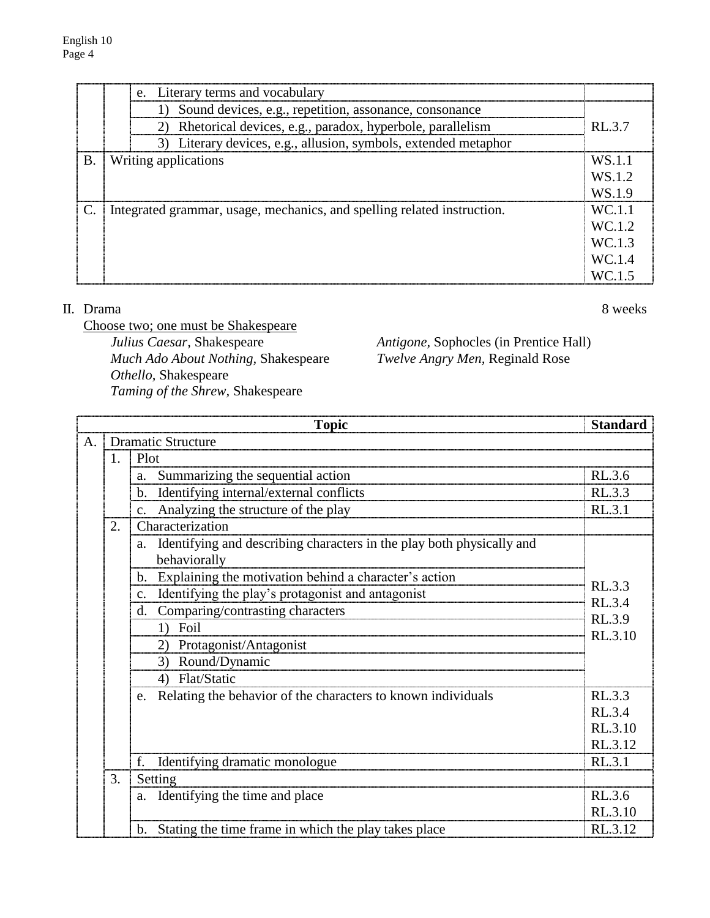|    | e. Literary terms and vocabulary                                        |        |
|----|-------------------------------------------------------------------------|--------|
|    | 1) Sound devices, e.g., repetition, assonance, consonance               |        |
|    | 2) Rhetorical devices, e.g., paradox, hyperbole, parallelism            | RL3.7  |
|    | 3) Literary devices, e.g., allusion, symbols, extended metaphor         |        |
| Β. | Writing applications                                                    | WS 1.1 |
|    |                                                                         | WS 1.2 |
|    |                                                                         | WS 19  |
|    | Integrated grammar, usage, mechanics, and spelling related instruction. | WC 1.1 |
|    |                                                                         | WC 1.2 |
|    |                                                                         | WC 13  |
|    |                                                                         | WC 1.4 |
|    |                                                                         | WC 14  |

#### II. Drama 8 weeks

Choose two; one must be Shakespeare *Julius Caesar,* Shakespeare *Antigone,* Sophocles (in Prentice Hall) *Much Ado About Nothing,* Shakespeare *Twelve Angry Men,* Reginald Rose *Othello,* Shakespeare *Taming of the Shrew,* Shakespeare

|    | <b>Topic</b><br><b>Standard</b>   |                                                                                          |                  |  |  |  |
|----|-----------------------------------|------------------------------------------------------------------------------------------|------------------|--|--|--|
| A. |                                   | <b>Dramatic Structure</b>                                                                |                  |  |  |  |
|    | 1.                                | Plot                                                                                     |                  |  |  |  |
|    | Summarizing the sequential action |                                                                                          |                  |  |  |  |
|    |                                   | b. Identifying internal/external conflicts                                               | RL.3.3           |  |  |  |
|    |                                   | c. Analyzing the structure of the play                                                   | RL.3.1           |  |  |  |
|    | 2.                                | Characterization                                                                         |                  |  |  |  |
|    |                                   | a. Identifying and describing characters in the play both physically and<br>behaviorally |                  |  |  |  |
|    |                                   | b. Explaining the motivation behind a character's action                                 |                  |  |  |  |
|    |                                   | Identifying the play's protagonist and antagonist<br>$\mathbf{c}$ .                      | RL.3.3<br>RL.3.4 |  |  |  |
|    |                                   | Comparing/contrasting characters<br>d.                                                   | RL.3.9           |  |  |  |
|    |                                   | 1) Foil                                                                                  | RL.3.10          |  |  |  |
|    |                                   | 2) Protagonist/Antagonist                                                                |                  |  |  |  |
|    |                                   | 3) Round/Dynamic                                                                         |                  |  |  |  |
|    |                                   | 4) Flat/Static                                                                           |                  |  |  |  |
|    |                                   | e. Relating the behavior of the characters to known individuals                          | RL.3.3           |  |  |  |
|    |                                   |                                                                                          | RL.3.4           |  |  |  |
|    |                                   |                                                                                          | RL.3.10          |  |  |  |
|    |                                   |                                                                                          | RL.3.12          |  |  |  |
|    |                                   | f.<br>Identifying dramatic monologue                                                     | RL.3.1           |  |  |  |
|    | 3.                                | Setting                                                                                  |                  |  |  |  |
|    |                                   | a. Identifying the time and place                                                        | RL.3.6           |  |  |  |
|    |                                   |                                                                                          | RL.3.10          |  |  |  |
|    |                                   | b. Stating the time frame in which the play takes place                                  | RL.3.12          |  |  |  |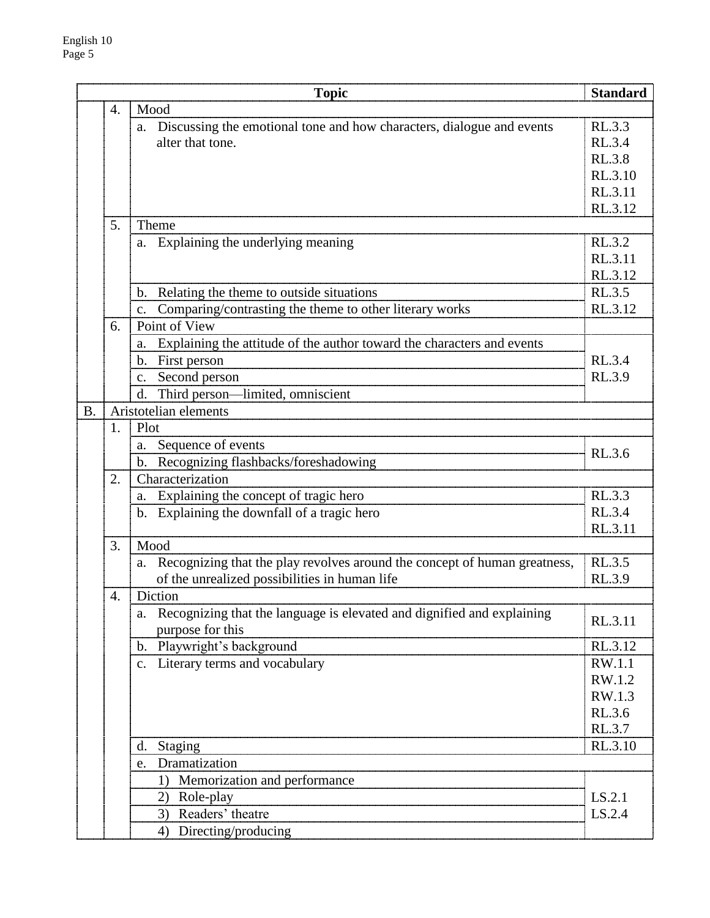|           |    | <b>Topic</b>                                                                    | <b>Standard</b>  |  |
|-----------|----|---------------------------------------------------------------------------------|------------------|--|
|           | 4. | Mood                                                                            |                  |  |
|           |    | Discussing the emotional tone and how characters, dialogue and events<br>a.     | RL.3.3           |  |
|           |    | alter that tone.                                                                | RL.3.4           |  |
|           |    |                                                                                 | RL.3.8           |  |
|           |    |                                                                                 | RL.3.10          |  |
|           |    |                                                                                 | RL.3.11          |  |
|           |    |                                                                                 | RL.3.12          |  |
|           | 5. | Theme                                                                           |                  |  |
|           |    | a. Explaining the underlying meaning                                            | RL.3.2           |  |
|           |    |                                                                                 | RL.3.11          |  |
|           |    |                                                                                 | RL.3.12          |  |
|           |    | Relating the theme to outside situations<br>$\mathbf{b}$ .                      | RL.3.5           |  |
|           |    | Comparing/contrasting the theme to other literary works<br>C <sub>1</sub>       | RL.3.12          |  |
|           | 6. | Point of View                                                                   |                  |  |
|           |    | Explaining the attitude of the author toward the characters and events          |                  |  |
|           |    | b. First person                                                                 | RL.3.4           |  |
|           |    | Second person<br>$C_{\bullet}$                                                  | RL.3.9           |  |
|           |    | Third person-limited, omniscient<br>d.                                          |                  |  |
| <b>B.</b> |    | Aristotelian elements                                                           |                  |  |
|           | 1. | Plot                                                                            |                  |  |
|           |    | Sequence of events<br>a.                                                        | RL.3.6           |  |
|           |    | Recognizing flashbacks/foreshadowing<br>b.                                      |                  |  |
|           | 2. | Characterization                                                                |                  |  |
|           |    | a. Explaining the concept of tragic hero                                        | RL.3.3           |  |
|           |    | b. Explaining the downfall of a tragic hero                                     | RL.3.4           |  |
|           |    |                                                                                 | RL.3.11          |  |
|           | 3. | Mood                                                                            |                  |  |
|           |    | Recognizing that the play revolves around the concept of human greatness,<br>a. | RL.3.5           |  |
|           |    | of the unrealized possibilities in human life                                   | RL.3.9           |  |
|           | 4. | Diction                                                                         |                  |  |
|           |    | a. Recognizing that the language is elevated and dignified and explaining       | RL.3.11          |  |
|           |    | purpose for this                                                                |                  |  |
|           |    | b. Playwright's background                                                      | RL.3.12          |  |
|           |    | c. Literary terms and vocabulary                                                | RW.1.1           |  |
|           |    |                                                                                 | RW.1.2           |  |
|           |    |                                                                                 | RW.1.3<br>RL.3.6 |  |
|           |    |                                                                                 |                  |  |
|           |    |                                                                                 | RL.3.7           |  |
|           |    | d. Staging                                                                      | RL.3.10          |  |
|           |    | Dramatization<br>e.                                                             |                  |  |
|           |    | 1) Memorization and performance                                                 |                  |  |
|           |    | Role-play<br>2)                                                                 | LS.2.1           |  |
|           |    | 3) Readers' theatre                                                             | LS.2.4           |  |
|           |    | 4) Directing/producing                                                          |                  |  |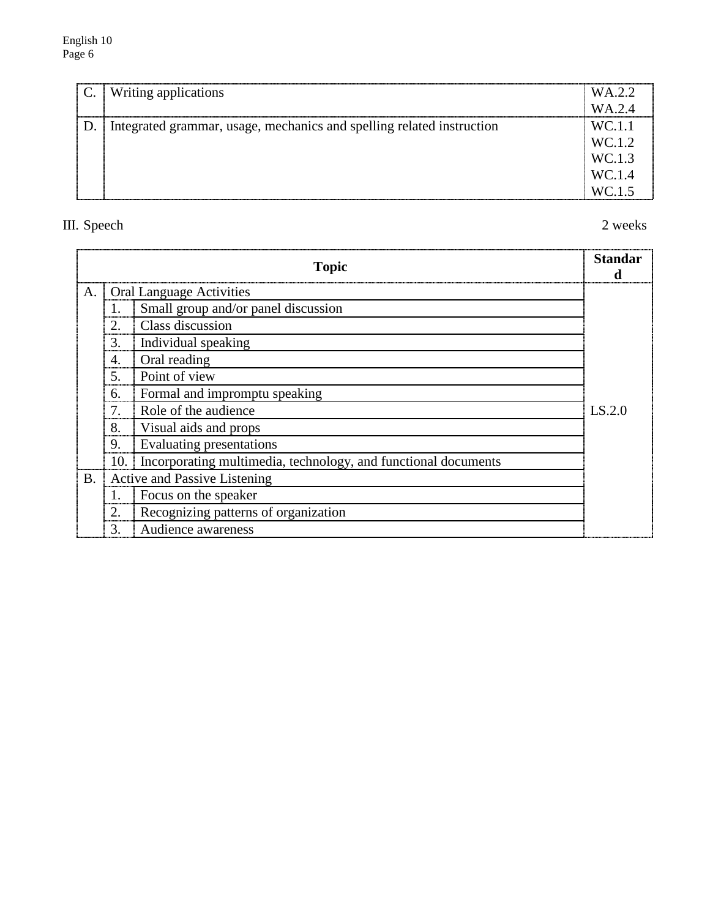| $\mathbf{C}$ . | Writing applications                                                  | WA.2.2 |
|----------------|-----------------------------------------------------------------------|--------|
|                |                                                                       | WA.2.4 |
| D.             | Integrated grammar, usage, mechanics and spelling related instruction | WC.1.1 |
|                |                                                                       | WC.1.2 |
|                |                                                                       | WC.1.3 |
|                |                                                                       | WC.1.4 |
|                |                                                                       | WC.1.5 |

# III. Speech 2 weeks

|           |                                 | <b>Topic</b>                                                   | <b>Standar</b><br>đ |  |
|-----------|---------------------------------|----------------------------------------------------------------|---------------------|--|
| A.        | <b>Oral Language Activities</b> |                                                                |                     |  |
|           | 1.                              | Small group and/or panel discussion                            |                     |  |
|           | 2.                              | Class discussion                                               |                     |  |
|           | 3.                              | Individual speaking                                            |                     |  |
|           | 4.                              | Oral reading                                                   |                     |  |
|           | 5.                              | Point of view                                                  |                     |  |
|           | 6.                              | Formal and impromptu speaking                                  |                     |  |
|           | 7.                              | Role of the audience                                           | LS.2.0              |  |
|           | 8.                              | Visual aids and props                                          |                     |  |
|           | 9.                              | Evaluating presentations                                       |                     |  |
|           | 10.                             | Incorporating multimedia, technology, and functional documents |                     |  |
| <b>B.</b> |                                 | <b>Active and Passive Listening</b>                            |                     |  |
|           | 1.                              | Focus on the speaker                                           |                     |  |
|           | 2.                              | Recognizing patterns of organization                           |                     |  |
|           | 3.                              | Audience awareness                                             |                     |  |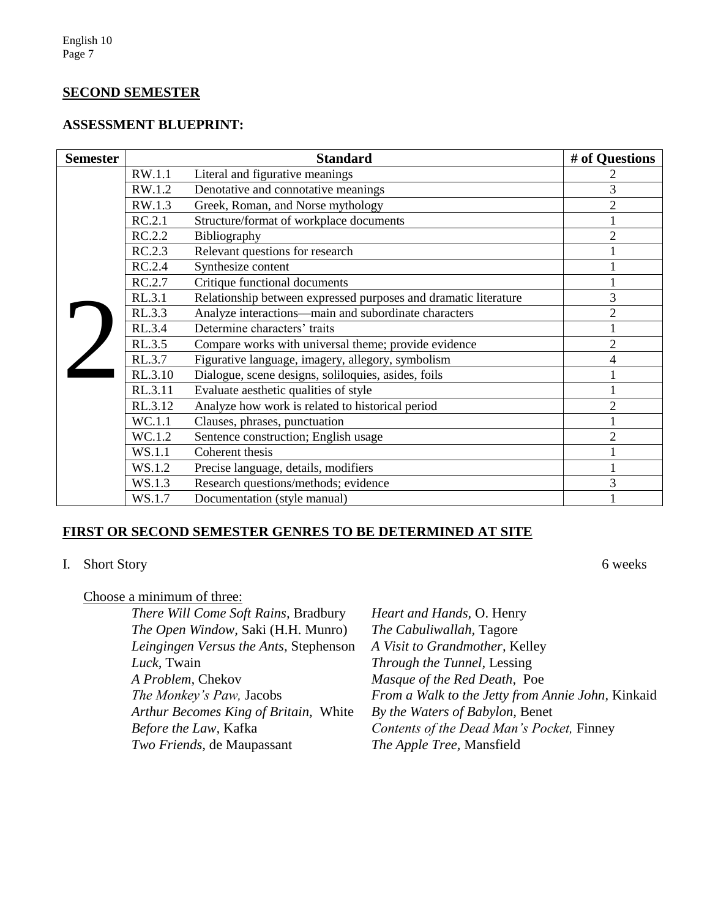# **SECOND SEMESTER**

## **ASSESSMENT BLUEPRINT:**

| <b>Semester</b> | <b>Standard</b> |                                                                 | # of Questions |
|-----------------|-----------------|-----------------------------------------------------------------|----------------|
|                 | RW.1.1          | Literal and figurative meanings                                 |                |
|                 | RW.1.2          | Denotative and connotative meanings                             | 3              |
|                 | RW.1.3          | Greek, Roman, and Norse mythology                               | $\overline{2}$ |
|                 | RC.2.1          | Structure/format of workplace documents                         |                |
|                 | RC.2.2          | Bibliography                                                    | $\overline{2}$ |
|                 | RC.2.3          | Relevant questions for research                                 |                |
|                 | RC.2.4          | Synthesize content                                              |                |
|                 | RC.2.7          | Critique functional documents                                   |                |
|                 | RL.3.1          | Relationship between expressed purposes and dramatic literature | 3              |
|                 | RL.3.3          | Analyze interactions—main and subordinate characters            | $\overline{2}$ |
|                 | RL.3.4          | Determine characters' traits                                    |                |
|                 | RL.3.5          | Compare works with universal theme; provide evidence            | $\overline{2}$ |
|                 | RL.3.7          | Figurative language, imagery, allegory, symbolism               | 4              |
|                 | RL.3.10         | Dialogue, scene designs, soliloquies, asides, foils             |                |
|                 | RL.3.11         | Evaluate aesthetic qualities of style                           |                |
|                 | RL.3.12         | Analyze how work is related to historical period                | $\overline{2}$ |
|                 | WC.1.1          | Clauses, phrases, punctuation                                   |                |
|                 | WC.1.2          | Sentence construction; English usage                            | $\overline{c}$ |
|                 | WS.1.1          | Coherent thesis                                                 |                |
|                 | WS.1.2          | Precise language, details, modifiers                            |                |
|                 | WS.1.3          | Research questions/methods; evidence                            | 3              |
|                 | WS.1.7          | Documentation (style manual)                                    |                |

# **FIRST OR SECOND SEMESTER GENRES TO BE DETERMINED AT SITE**

# I. Short Story 6 weeks

Choose a minimum of three:

| There Will Come Soft Rains, Bradbury   | Heart and Hands, O. Henry                         |
|----------------------------------------|---------------------------------------------------|
| The Open Window, Saki (H.H. Munro)     | The Cabuliwallah, Tagore                          |
| Leingingen Versus the Ants, Stephenson | A Visit to Grandmother, Kelley                    |
| Luck, Twain                            | Through the Tunnel, Lessing                       |
| A Problem, Chekov                      | Masque of the Red Death, Poe                      |
| The Monkey's Paw, Jacobs               | From a Walk to the Jetty from Annie John, Kinkaid |
| Arthur Becomes King of Britain, White  | By the Waters of Babylon, Benet                   |
| <i>Before the Law</i> , Kafka          | Contents of the Dead Man's Pocket, Finney         |
| <i>Two Friends</i> , de Maupassant     | The Apple Tree, Mansfield                         |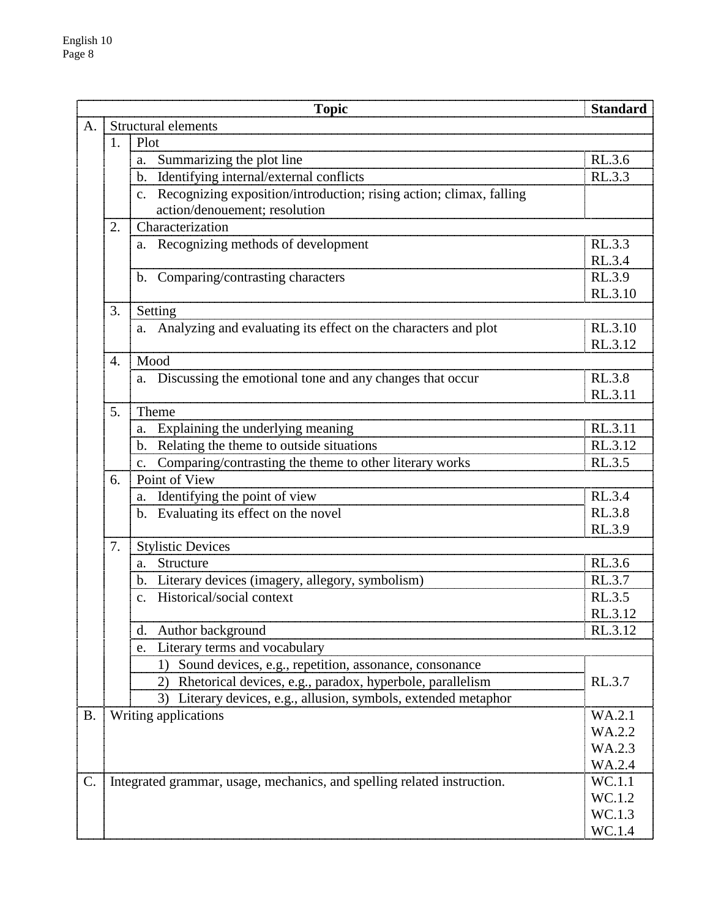| A.<br>Structural elements<br>1.<br>Plot<br>a. Summarizing the plot line<br>Identifying internal/external conflicts<br>$\mathbf{b}$ .<br>c. Recognizing exposition/introduction; rising action; climax, falling<br>action/denouement; resolution<br>Characterization<br>2.<br>a. Recognizing methods of development<br>b. Comparing/contrasting characters<br>3.<br>Setting<br>a. Analyzing and evaluating its effect on the characters and plot<br>Mood<br>$\overline{4}$ .<br>a. Discussing the emotional tone and any changes that occur<br>5.<br>Theme<br>a. Explaining the underlying meaning<br>b. Relating the theme to outside situations<br>Comparing/contrasting the theme to other literary works<br>$C_{\bullet}$<br>Point of View<br>6.<br>a. Identifying the point of view |                    |
|-----------------------------------------------------------------------------------------------------------------------------------------------------------------------------------------------------------------------------------------------------------------------------------------------------------------------------------------------------------------------------------------------------------------------------------------------------------------------------------------------------------------------------------------------------------------------------------------------------------------------------------------------------------------------------------------------------------------------------------------------------------------------------------------|--------------------|
|                                                                                                                                                                                                                                                                                                                                                                                                                                                                                                                                                                                                                                                                                                                                                                                         |                    |
|                                                                                                                                                                                                                                                                                                                                                                                                                                                                                                                                                                                                                                                                                                                                                                                         |                    |
|                                                                                                                                                                                                                                                                                                                                                                                                                                                                                                                                                                                                                                                                                                                                                                                         | RL.3.6             |
|                                                                                                                                                                                                                                                                                                                                                                                                                                                                                                                                                                                                                                                                                                                                                                                         | RL.3.3             |
|                                                                                                                                                                                                                                                                                                                                                                                                                                                                                                                                                                                                                                                                                                                                                                                         |                    |
|                                                                                                                                                                                                                                                                                                                                                                                                                                                                                                                                                                                                                                                                                                                                                                                         |                    |
|                                                                                                                                                                                                                                                                                                                                                                                                                                                                                                                                                                                                                                                                                                                                                                                         |                    |
|                                                                                                                                                                                                                                                                                                                                                                                                                                                                                                                                                                                                                                                                                                                                                                                         | RL.3.3             |
|                                                                                                                                                                                                                                                                                                                                                                                                                                                                                                                                                                                                                                                                                                                                                                                         | RL.3.4             |
|                                                                                                                                                                                                                                                                                                                                                                                                                                                                                                                                                                                                                                                                                                                                                                                         | RL.3.9             |
|                                                                                                                                                                                                                                                                                                                                                                                                                                                                                                                                                                                                                                                                                                                                                                                         | RL.3.10            |
|                                                                                                                                                                                                                                                                                                                                                                                                                                                                                                                                                                                                                                                                                                                                                                                         |                    |
|                                                                                                                                                                                                                                                                                                                                                                                                                                                                                                                                                                                                                                                                                                                                                                                         | RL.3.10            |
|                                                                                                                                                                                                                                                                                                                                                                                                                                                                                                                                                                                                                                                                                                                                                                                         | RL.3.12            |
|                                                                                                                                                                                                                                                                                                                                                                                                                                                                                                                                                                                                                                                                                                                                                                                         |                    |
|                                                                                                                                                                                                                                                                                                                                                                                                                                                                                                                                                                                                                                                                                                                                                                                         | RL.3.8             |
|                                                                                                                                                                                                                                                                                                                                                                                                                                                                                                                                                                                                                                                                                                                                                                                         | RL.3.11            |
|                                                                                                                                                                                                                                                                                                                                                                                                                                                                                                                                                                                                                                                                                                                                                                                         |                    |
|                                                                                                                                                                                                                                                                                                                                                                                                                                                                                                                                                                                                                                                                                                                                                                                         | RL.3.11            |
|                                                                                                                                                                                                                                                                                                                                                                                                                                                                                                                                                                                                                                                                                                                                                                                         | RL.3.12            |
|                                                                                                                                                                                                                                                                                                                                                                                                                                                                                                                                                                                                                                                                                                                                                                                         | RL.3.5             |
|                                                                                                                                                                                                                                                                                                                                                                                                                                                                                                                                                                                                                                                                                                                                                                                         |                    |
|                                                                                                                                                                                                                                                                                                                                                                                                                                                                                                                                                                                                                                                                                                                                                                                         | RL.3.4             |
| b. Evaluating its effect on the novel                                                                                                                                                                                                                                                                                                                                                                                                                                                                                                                                                                                                                                                                                                                                                   | <b>RL.3.8</b>      |
|                                                                                                                                                                                                                                                                                                                                                                                                                                                                                                                                                                                                                                                                                                                                                                                         | RL.3.9             |
| 7.<br><b>Stylistic Devices</b>                                                                                                                                                                                                                                                                                                                                                                                                                                                                                                                                                                                                                                                                                                                                                          |                    |
| Structure<br>a.                                                                                                                                                                                                                                                                                                                                                                                                                                                                                                                                                                                                                                                                                                                                                                         | RL.3.6             |
| Literary devices (imagery, allegory, symbolism)<br>$\mathbf{b}$ .                                                                                                                                                                                                                                                                                                                                                                                                                                                                                                                                                                                                                                                                                                                       | RL.3.7             |
| c. Historical/social context                                                                                                                                                                                                                                                                                                                                                                                                                                                                                                                                                                                                                                                                                                                                                            | RL.3.5             |
|                                                                                                                                                                                                                                                                                                                                                                                                                                                                                                                                                                                                                                                                                                                                                                                         | RL.3.12<br>RL.3.12 |
| Author background<br>d.                                                                                                                                                                                                                                                                                                                                                                                                                                                                                                                                                                                                                                                                                                                                                                 |                    |
| Literary terms and vocabulary<br>e.<br>Sound devices, e.g., repetition, assonance, consonance<br>$\left  \cdot \right $                                                                                                                                                                                                                                                                                                                                                                                                                                                                                                                                                                                                                                                                 |                    |
|                                                                                                                                                                                                                                                                                                                                                                                                                                                                                                                                                                                                                                                                                                                                                                                         |                    |
| 2) Rhetorical devices, e.g., paradox, hyperbole, parallelism                                                                                                                                                                                                                                                                                                                                                                                                                                                                                                                                                                                                                                                                                                                            | RL.3.7             |
| 3) Literary devices, e.g., allusion, symbols, extended metaphor<br><b>B.</b>                                                                                                                                                                                                                                                                                                                                                                                                                                                                                                                                                                                                                                                                                                            | WA.2.1             |
| Writing applications                                                                                                                                                                                                                                                                                                                                                                                                                                                                                                                                                                                                                                                                                                                                                                    | WA.2.2             |
|                                                                                                                                                                                                                                                                                                                                                                                                                                                                                                                                                                                                                                                                                                                                                                                         | WA.2.3             |
|                                                                                                                                                                                                                                                                                                                                                                                                                                                                                                                                                                                                                                                                                                                                                                                         | WA.2.4             |
| Integrated grammar, usage, mechanics, and spelling related instruction.<br>$\mathbf{C}$ .                                                                                                                                                                                                                                                                                                                                                                                                                                                                                                                                                                                                                                                                                               | WC.1.1             |
|                                                                                                                                                                                                                                                                                                                                                                                                                                                                                                                                                                                                                                                                                                                                                                                         | WC.1.2             |
|                                                                                                                                                                                                                                                                                                                                                                                                                                                                                                                                                                                                                                                                                                                                                                                         | WC.1.3             |
|                                                                                                                                                                                                                                                                                                                                                                                                                                                                                                                                                                                                                                                                                                                                                                                         | WC.1.4             |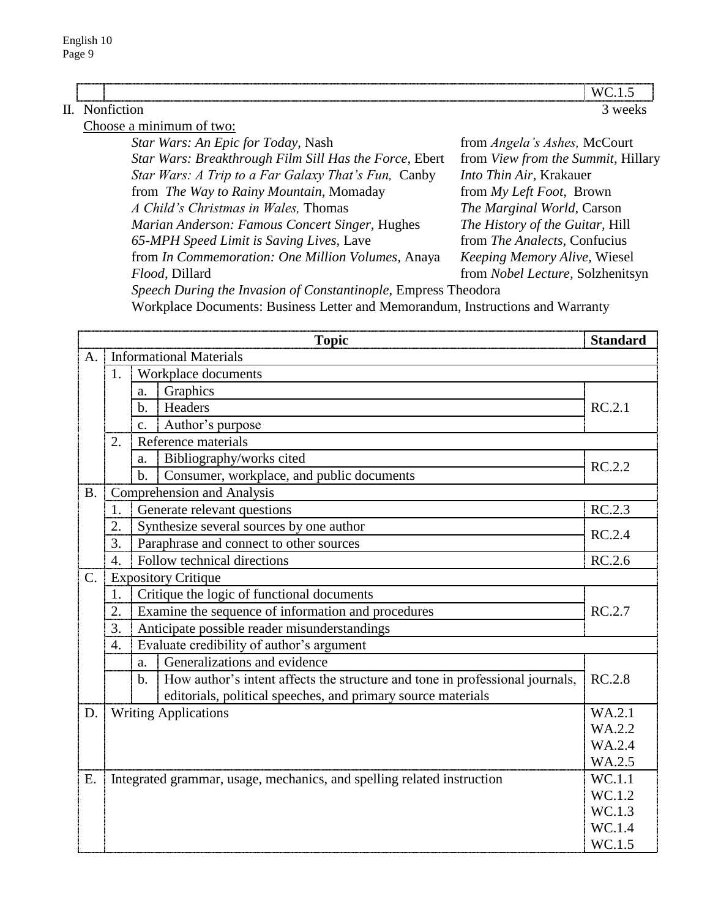| H. | Nontiction                                |                                      | 3 weeks |
|----|-------------------------------------------|--------------------------------------|---------|
|    | Choose a minimum of two:                  |                                      |         |
|    | <i>Star Wars: An Epic for Today, Nash</i> | from <i>Angela's Ashes</i> , McCourt |         |

*Star Wars: Breakthrough Film Sill Has the Force,* Ebert from *View from the Summit,* Hillary *Star Wars: A Trip to a Far Galaxy That's Fun,* Canby *Into Thin Air,* Krakauer from *The Way to Rainy Mountain,* Momaday from *My Left Foot,* Brown *A Child's Christmas in Wales,* Thomas *The Marginal World,* Carson *Marian Anderson: Famous Concert Singer,* Hughes *The History of the Guitar,* Hill *65-MPH Speed Limit is Saving Lives,* Lave from *The Analects,* Confucius from *In Commemoration: One Million Volumes,* Anaya *Keeping Memory Alive,* Wiesel *Flood,* Dillard from *Nobel Lecture,* Solzhenitsyn

*Speech During the Invasion of Constantinople,* Empress Theodora

Workplace Documents: Business Letter and Memorandum, Instructions and Warranty

|             |                                                          |                                              | <b>Topic</b>                                                                 | <b>Standard</b>  |  |
|-------------|----------------------------------------------------------|----------------------------------------------|------------------------------------------------------------------------------|------------------|--|
| A.          | <b>Informational Materials</b>                           |                                              |                                                                              |                  |  |
|             | 1.                                                       | Workplace documents                          |                                                                              |                  |  |
|             |                                                          |                                              |                                                                              |                  |  |
|             |                                                          | $\mathbf{b}$ .                               | Headers                                                                      | RC.2.1           |  |
|             |                                                          | $\mathbf{c}$ .                               | Author's purpose                                                             |                  |  |
|             | 2.                                                       |                                              | Reference materials                                                          |                  |  |
|             |                                                          | a.                                           | Bibliography/works cited                                                     | RC.2.2           |  |
|             |                                                          | $b$ .                                        | Consumer, workplace, and public documents                                    |                  |  |
| B.          |                                                          |                                              | <b>Comprehension and Analysis</b>                                            |                  |  |
|             | 1.                                                       |                                              | Generate relevant questions                                                  | RC.2.3           |  |
|             | 2.                                                       |                                              | Synthesize several sources by one author                                     | RC.2.4           |  |
|             | 3.                                                       |                                              | Paraphrase and connect to other sources                                      |                  |  |
|             | 4.                                                       |                                              | Follow technical directions                                                  | RC.2.6           |  |
| $C_{\cdot}$ |                                                          |                                              | <b>Expository Critique</b>                                                   |                  |  |
|             | 1.                                                       |                                              | Critique the logic of functional documents                                   |                  |  |
|             | Examine the sequence of information and procedures<br>2. |                                              |                                                                              | RC.2.7           |  |
|             | 3.                                                       | Anticipate possible reader misunderstandings |                                                                              |                  |  |
|             | 4.                                                       |                                              | Evaluate credibility of author's argument                                    |                  |  |
|             |                                                          | a.                                           | Generalizations and evidence                                                 |                  |  |
|             |                                                          | b.                                           | How author's intent affects the structure and tone in professional journals, | <b>RC.2.8</b>    |  |
|             |                                                          |                                              | editorials, political speeches, and primary source materials                 |                  |  |
| D.          |                                                          |                                              | <b>Writing Applications</b>                                                  | WA.2.1           |  |
|             |                                                          |                                              |                                                                              | WA.2.2           |  |
|             |                                                          |                                              |                                                                              | WA.2.4           |  |
|             |                                                          |                                              |                                                                              | WA.2.5           |  |
| E.          |                                                          |                                              | Integrated grammar, usage, mechanics, and spelling related instruction       | WC.1.1           |  |
|             |                                                          |                                              |                                                                              | WC.1.2           |  |
|             |                                                          |                                              |                                                                              | WC.1.3<br>WC.1.4 |  |
|             |                                                          |                                              |                                                                              |                  |  |
|             |                                                          |                                              |                                                                              | WC.1.5           |  |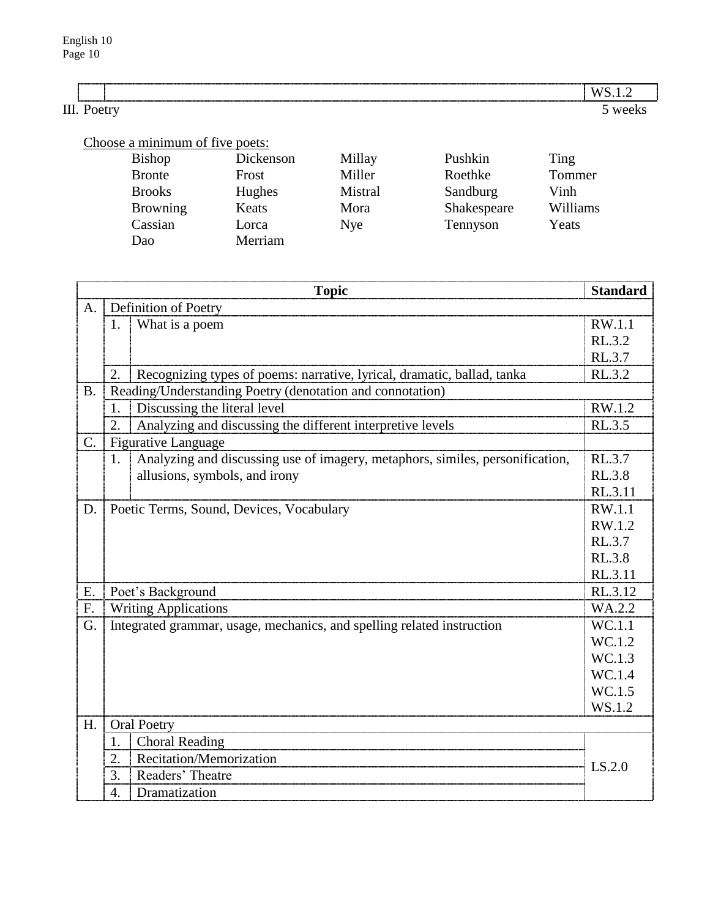|   | ----------------- |  |
|---|-------------------|--|
| . |                   |  |

# Choose a minimum of five poets:

| <b>Bishop</b>   | Dickenson | Millay     | Pushkin     | Ting     |
|-----------------|-----------|------------|-------------|----------|
| <b>Bronte</b>   | Frost     | Miller     | Roethke     | Tommer   |
| <b>Brooks</b>   | Hughes    | Mistral    | Sandburg    | Vinh     |
| <b>Browning</b> | Keats     | Mora       | Shakespeare | Williams |
| Cassian         | Lorca     | <b>Nye</b> | Tennyson    | Yeats    |
| Dao             | Merriam   |            |             |          |

|             |                        | <b>Topic</b>                                                                  | <b>Standard</b> |
|-------------|------------------------|-------------------------------------------------------------------------------|-----------------|
| $A_{\cdot}$ |                        | Definition of Poetry                                                          |                 |
|             | 1.                     | What is a poem                                                                | RW.1.1          |
|             |                        |                                                                               | RL.3.2          |
|             |                        |                                                                               | RL.3.7          |
|             | 2.                     | Recognizing types of poems: narrative, lyrical, dramatic, ballad, tanka       | RL.3.2          |
| <b>B.</b>   |                        | Reading/Understanding Poetry (denotation and connotation)                     |                 |
|             | 1.                     | Discussing the literal level                                                  | RW.1.2          |
|             | 2.                     | Analyzing and discussing the different interpretive levels                    | RL.3.5          |
| $C$ .       |                        | <b>Figurative Language</b>                                                    |                 |
|             | 1.                     | Analyzing and discussing use of imagery, metaphors, similes, personification, | RL.3.7          |
|             |                        | allusions, symbols, and irony                                                 | <b>RL.3.8</b>   |
|             |                        |                                                                               | RL.3.11         |
| D.          |                        | Poetic Terms, Sound, Devices, Vocabulary                                      | RW.1.1          |
|             |                        |                                                                               | RW.1.2          |
|             |                        |                                                                               | RL.3.7          |
|             |                        |                                                                               | RL.3.8          |
|             |                        |                                                                               | RL.3.11         |
| E.          |                        | Poet's Background                                                             | RL.3.12         |
| F.          |                        | <b>Writing Applications</b>                                                   | WA.2.2          |
| G.          |                        | Integrated grammar, usage, mechanics, and spelling related instruction        | WC.1.1          |
|             |                        |                                                                               | WC.1.2          |
|             |                        |                                                                               | WC.1.3          |
|             |                        |                                                                               | WC.1.4          |
|             |                        |                                                                               | WC.1.5          |
|             |                        |                                                                               | WS.1.2          |
| H.          |                        | <b>Oral Poetry</b>                                                            |                 |
|             | 1.                     | <b>Choral Reading</b>                                                         |                 |
|             | 2.                     | Recitation/Memorization                                                       | LS.2.0          |
|             | Readers' Theatre<br>3. |                                                                               |                 |
|             | 4.                     | Dramatization                                                                 |                 |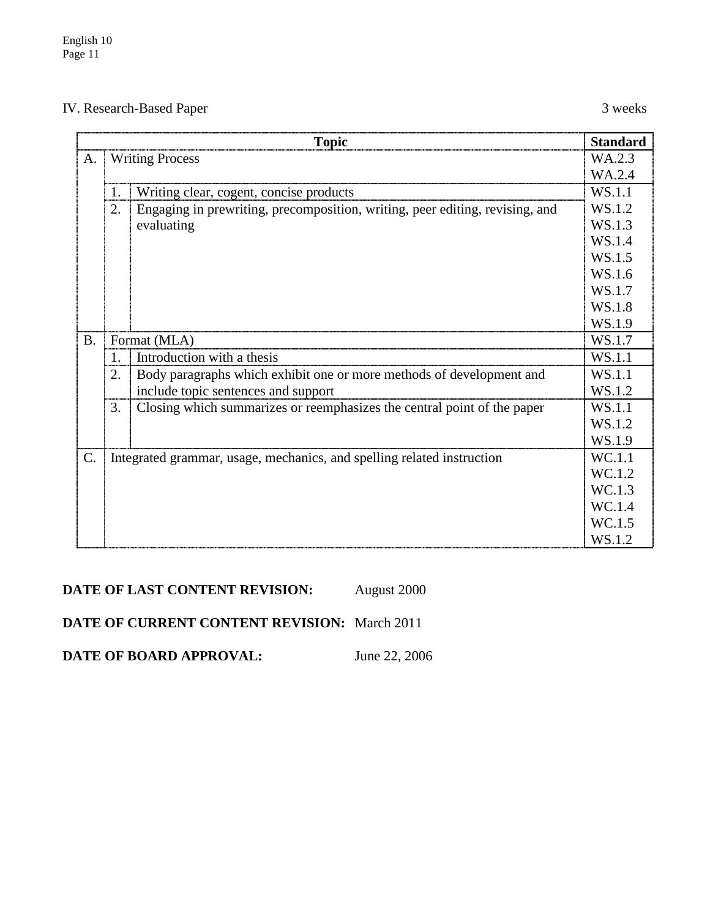# IV. Research-Based Paper 3 weeks

|           | <b>Standard</b><br><b>Topic</b>                                        |                                                                              |                  |
|-----------|------------------------------------------------------------------------|------------------------------------------------------------------------------|------------------|
| A.        | <b>Writing Process</b>                                                 |                                                                              | WA.2.3           |
|           |                                                                        |                                                                              |                  |
|           | 1.                                                                     | Writing clear, cogent, concise products                                      | WS.1.1           |
|           | 2.                                                                     | Engaging in prewriting, precomposition, writing, peer editing, revising, and | WS.1.2           |
|           |                                                                        | evaluating                                                                   | WS.1.3           |
|           |                                                                        |                                                                              | WS.1.4           |
|           |                                                                        |                                                                              | WS.1.5           |
|           |                                                                        |                                                                              | WS.1.6           |
|           |                                                                        |                                                                              | WS.1.7           |
|           |                                                                        |                                                                              | WS.1.8           |
|           |                                                                        |                                                                              | WS.1.9           |
| <b>B.</b> |                                                                        | Format (MLA)                                                                 | WS.1.7           |
|           | 1.                                                                     | Introduction with a thesis                                                   | WS.1.1           |
|           | 2.                                                                     | Body paragraphs which exhibit one or more methods of development and         | WS.1.1           |
|           |                                                                        | include topic sentences and support                                          | WS.1.2           |
|           | 3.                                                                     | Closing which summarizes or reemphasizes the central point of the paper      | WS.1.1           |
|           |                                                                        |                                                                              | WS.1.2           |
|           |                                                                        |                                                                              | WS.1.9<br>WC.1.1 |
| C.        | Integrated grammar, usage, mechanics, and spelling related instruction |                                                                              |                  |
|           |                                                                        |                                                                              | WC.1.2           |
|           |                                                                        |                                                                              | WC.1.3           |
|           |                                                                        |                                                                              | WC.1.4           |
|           |                                                                        |                                                                              | WC.1.5           |
|           |                                                                        |                                                                              |                  |

# **DATE OF LAST CONTENT REVISION:** August 2000

# **DATE OF CURRENT CONTENT REVISION:** March 2011

**DATE OF BOARD APPROVAL:** June 22, 2006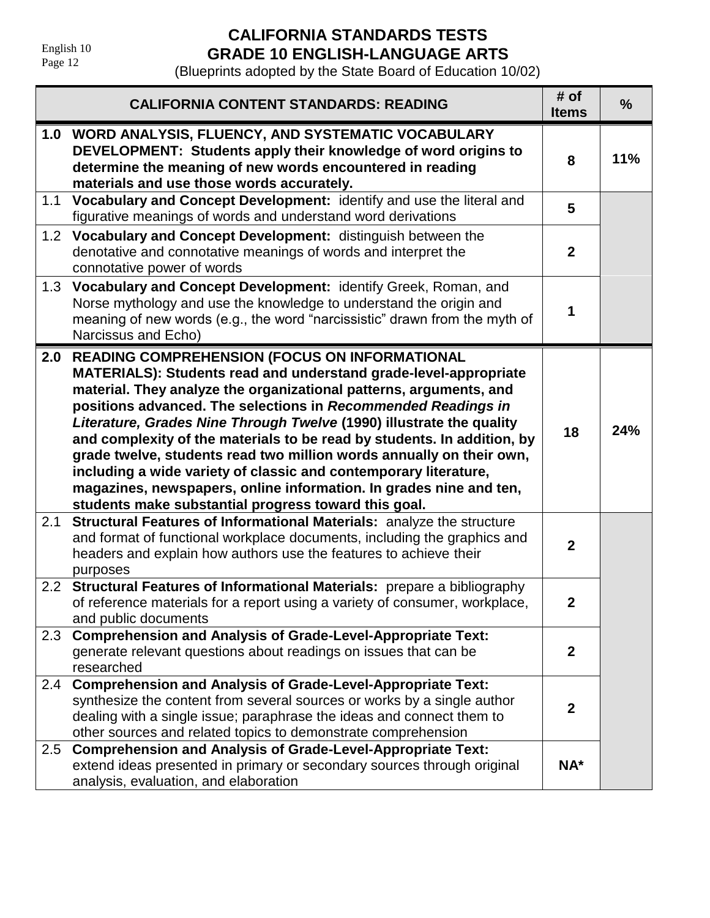English 10 Page 12

# **CALIFORNIA STANDARDS TESTS GRADE 10 ENGLISH-LANGUAGE ARTS**

|                  | <b>CALIFORNIA CONTENT STANDARDS: READING</b>                                                                                                                                                                                                                                                                                                                                                                                                                                                                                                                                                                                                                                              | # of<br><b>Items</b> | $\frac{0}{0}$ |
|------------------|-------------------------------------------------------------------------------------------------------------------------------------------------------------------------------------------------------------------------------------------------------------------------------------------------------------------------------------------------------------------------------------------------------------------------------------------------------------------------------------------------------------------------------------------------------------------------------------------------------------------------------------------------------------------------------------------|----------------------|---------------|
|                  | 1.0 WORD ANALYSIS, FLUENCY, AND SYSTEMATIC VOCABULARY<br>DEVELOPMENT: Students apply their knowledge of word origins to<br>determine the meaning of new words encountered in reading<br>materials and use those words accurately.                                                                                                                                                                                                                                                                                                                                                                                                                                                         | 8                    | 11%           |
| 1.1              | Vocabulary and Concept Development: identify and use the literal and<br>figurative meanings of words and understand word derivations                                                                                                                                                                                                                                                                                                                                                                                                                                                                                                                                                      | 5                    |               |
|                  | 1.2 Vocabulary and Concept Development: distinguish between the<br>denotative and connotative meanings of words and interpret the<br>connotative power of words                                                                                                                                                                                                                                                                                                                                                                                                                                                                                                                           | $\mathbf{2}$         |               |
| 1.3              | Vocabulary and Concept Development: identify Greek, Roman, and<br>Norse mythology and use the knowledge to understand the origin and<br>meaning of new words (e.g., the word "narcissistic" drawn from the myth of<br>Narcissus and Echo)                                                                                                                                                                                                                                                                                                                                                                                                                                                 | 1                    |               |
|                  | 2.0 READING COMPREHENSION (FOCUS ON INFORMATIONAL<br>MATERIALS): Students read and understand grade-level-appropriate<br>material. They analyze the organizational patterns, arguments, and<br>positions advanced. The selections in Recommended Readings in<br>Literature, Grades Nine Through Twelve (1990) illustrate the quality<br>and complexity of the materials to be read by students. In addition, by<br>grade twelve, students read two million words annually on their own,<br>including a wide variety of classic and contemporary literature,<br>magazines, newspapers, online information. In grades nine and ten,<br>students make substantial progress toward this goal. | 18                   | 24%           |
| 2.1              | Structural Features of Informational Materials: analyze the structure<br>and format of functional workplace documents, including the graphics and<br>headers and explain how authors use the features to achieve their<br>purposes                                                                                                                                                                                                                                                                                                                                                                                                                                                        | $\overline{2}$       |               |
| 2.2 <sub>2</sub> | Structural Features of Informational Materials: prepare a bibliography<br>of reference materials for a report using a variety of consumer, workplace,<br>and public documents                                                                                                                                                                                                                                                                                                                                                                                                                                                                                                             | $\boldsymbol{2}$     |               |
| 2.3              | <b>Comprehension and Analysis of Grade-Level-Appropriate Text:</b><br>generate relevant questions about readings on issues that can be<br>researched                                                                                                                                                                                                                                                                                                                                                                                                                                                                                                                                      | $\mathbf{2}$         |               |
| 2.4              | <b>Comprehension and Analysis of Grade-Level-Appropriate Text:</b><br>synthesize the content from several sources or works by a single author<br>dealing with a single issue; paraphrase the ideas and connect them to<br>other sources and related topics to demonstrate comprehension                                                                                                                                                                                                                                                                                                                                                                                                   | $\mathbf{2}$         |               |
| 2.5              | <b>Comprehension and Analysis of Grade-Level-Appropriate Text:</b><br>extend ideas presented in primary or secondary sources through original<br>analysis, evaluation, and elaboration                                                                                                                                                                                                                                                                                                                                                                                                                                                                                                    | $NA^*$               |               |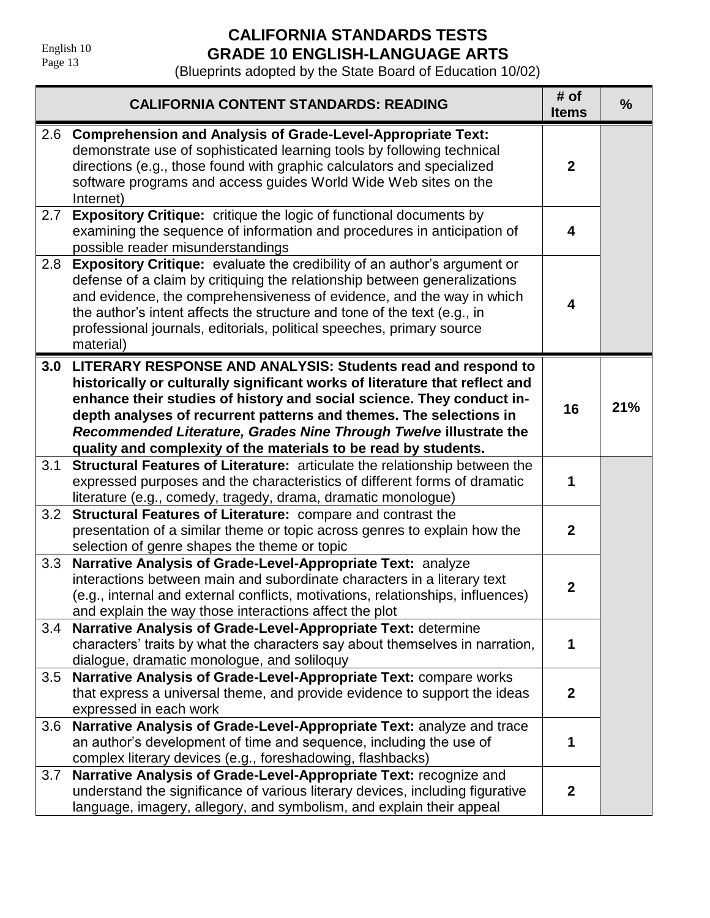# **CALIFORNIA STANDARDS TESTS GRADE 10 ENGLISH-LANGUAGE ARTS**

|     | <b>CALIFORNIA CONTENT STANDARDS: READING</b>                                                                                                                                                                                                                                                                                                                                                                                       | # of<br><b>Items</b> | $\frac{9}{6}$ |
|-----|------------------------------------------------------------------------------------------------------------------------------------------------------------------------------------------------------------------------------------------------------------------------------------------------------------------------------------------------------------------------------------------------------------------------------------|----------------------|---------------|
| 2.6 | <b>Comprehension and Analysis of Grade-Level-Appropriate Text:</b><br>demonstrate use of sophisticated learning tools by following technical<br>directions (e.g., those found with graphic calculators and specialized<br>software programs and access guides World Wide Web sites on the<br>Internet)                                                                                                                             | $\mathbf{2}$         |               |
| 2.7 | <b>Expository Critique:</b> critique the logic of functional documents by<br>examining the sequence of information and procedures in anticipation of<br>possible reader misunderstandings                                                                                                                                                                                                                                          | 4                    |               |
| 2.8 | <b>Expository Critique:</b> evaluate the credibility of an author's argument or<br>defense of a claim by critiquing the relationship between generalizations<br>and evidence, the comprehensiveness of evidence, and the way in which<br>the author's intent affects the structure and tone of the text (e.g., in<br>professional journals, editorials, political speeches, primary source<br>material)                            | 4                    |               |
| 3.0 | LITERARY RESPONSE AND ANALYSIS: Students read and respond to<br>historically or culturally significant works of literature that reflect and<br>enhance their studies of history and social science. They conduct in-<br>depth analyses of recurrent patterns and themes. The selections in<br>Recommended Literature, Grades Nine Through Twelve illustrate the<br>quality and complexity of the materials to be read by students. | 16                   | 21%           |
| 3.1 | Structural Features of Literature: articulate the relationship between the<br>expressed purposes and the characteristics of different forms of dramatic<br>literature (e.g., comedy, tragedy, drama, dramatic monologue)                                                                                                                                                                                                           | 1                    |               |
| 3.2 | Structural Features of Literature: compare and contrast the<br>presentation of a similar theme or topic across genres to explain how the<br>selection of genre shapes the theme or topic                                                                                                                                                                                                                                           | $\mathbf{2}$         |               |
| 3.3 | Narrative Analysis of Grade-Level-Appropriate Text: analyze<br>interactions between main and subordinate characters in a literary text<br>(e.g., internal and external conflicts, motivations, relationships, influences)<br>and explain the way those interactions affect the plot                                                                                                                                                | $\mathbf{2}$         |               |
| 3.4 | Narrative Analysis of Grade-Level-Appropriate Text: determine<br>characters' traits by what the characters say about themselves in narration,<br>dialogue, dramatic monologue, and soliloquy                                                                                                                                                                                                                                       | 1                    |               |
| 3.5 | Narrative Analysis of Grade-Level-Appropriate Text: compare works<br>that express a universal theme, and provide evidence to support the ideas<br>expressed in each work                                                                                                                                                                                                                                                           | $\mathbf{2}$         |               |
| 3.6 | Narrative Analysis of Grade-Level-Appropriate Text: analyze and trace<br>an author's development of time and sequence, including the use of<br>complex literary devices (e.g., foreshadowing, flashbacks)                                                                                                                                                                                                                          | 1                    |               |
| 3.7 | Narrative Analysis of Grade-Level-Appropriate Text: recognize and<br>understand the significance of various literary devices, including figurative<br>language, imagery, allegory, and symbolism, and explain their appeal                                                                                                                                                                                                         | $\mathbf{2}$         |               |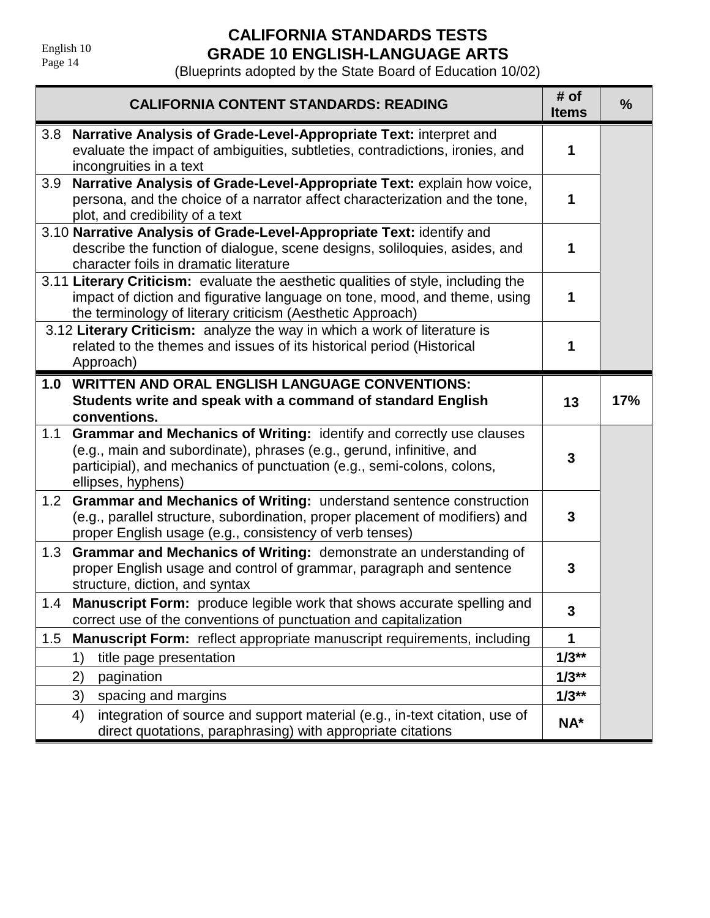English 10 Page 14

# **CALIFORNIA STANDARDS TESTS GRADE 10 ENGLISH-LANGUAGE ARTS**

| <b>CALIFORNIA CONTENT STANDARDS: READING</b>                                                                                                                                                                                                        | # of<br><b>Items</b> | $\frac{0}{0}$ |
|-----------------------------------------------------------------------------------------------------------------------------------------------------------------------------------------------------------------------------------------------------|----------------------|---------------|
| Narrative Analysis of Grade-Level-Appropriate Text: interpret and<br>3.8<br>evaluate the impact of ambiguities, subtleties, contradictions, ironies, and<br>incongruities in a text                                                                 | 1                    |               |
| Narrative Analysis of Grade-Level-Appropriate Text: explain how voice,<br>3.9<br>persona, and the choice of a narrator affect characterization and the tone,<br>plot, and credibility of a text                                                     | 1                    |               |
| 3.10 Narrative Analysis of Grade-Level-Appropriate Text: identify and<br>describe the function of dialogue, scene designs, soliloquies, asides, and<br>character foils in dramatic literature                                                       | 1                    |               |
| 3.11 Literary Criticism: evaluate the aesthetic qualities of style, including the<br>impact of diction and figurative language on tone, mood, and theme, using<br>the terminology of literary criticism (Aesthetic Approach)                        | 1                    |               |
| 3.12 Literary Criticism: analyze the way in which a work of literature is<br>related to the themes and issues of its historical period (Historical<br>Approach)                                                                                     | 1                    |               |
| <b>WRITTEN AND ORAL ENGLISH LANGUAGE CONVENTIONS:</b><br>1.0<br>Students write and speak with a command of standard English<br>conventions.                                                                                                         | 13                   | 17%           |
| Grammar and Mechanics of Writing: identify and correctly use clauses<br>1.1<br>(e.g., main and subordinate), phrases (e.g., gerund, infinitive, and<br>participial), and mechanics of punctuation (e.g., semi-colons, colons,<br>ellipses, hyphens) | 3                    |               |
| Grammar and Mechanics of Writing: understand sentence construction<br>1.2 <sub>2</sub><br>(e.g., parallel structure, subordination, proper placement of modifiers) and<br>proper English usage (e.g., consistency of verb tenses)                   | 3                    |               |
| Grammar and Mechanics of Writing: demonstrate an understanding of<br>1.3<br>proper English usage and control of grammar, paragraph and sentence<br>structure, diction, and syntax                                                                   | 3                    |               |
| <b>Manuscript Form:</b> produce legible work that shows accurate spelling and<br>1.4<br>correct use of the conventions of punctuation and capitalization                                                                                            | 3                    |               |
| Manuscript Form: reflect appropriate manuscript requirements, including<br>1.5                                                                                                                                                                      | 1                    |               |
| title page presentation<br>1)                                                                                                                                                                                                                       | $1/3**$              |               |
| 2)<br>pagination                                                                                                                                                                                                                                    | $1/3**$              |               |
| 3)<br>spacing and margins                                                                                                                                                                                                                           | $1/3**$              |               |
| integration of source and support material (e.g., in-text citation, use of<br>4)<br>direct quotations, paraphrasing) with appropriate citations                                                                                                     | NA*                  |               |